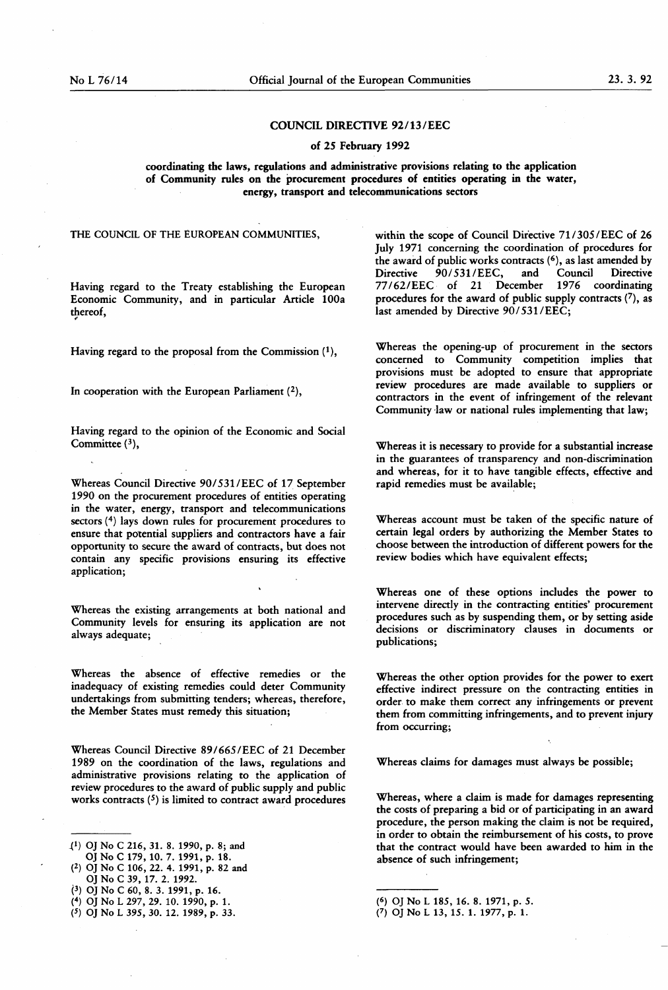## COUNCIL DIRECTIVE 92/13/EEC

#### of 25 February 1992

coordinating the laws, regulations and administrative provisions relating to the application of Community rules on the procurement procedures of entities operating in the water, energy, transport and telecommunications sectors

THE COUNCIL OF THE EUROPEAN COMMUNITIES,

Having regard to the Treaty establishing the European Economic Community, and in particular Article 100a thereof,

Having regard to the proposal from the Commission (1),

In cooperation with the European Parliament  $(2)$ ,

Having regard to the opinion of the Economic and Social Committee  $(3)$ ,

Whereas Council Directive 90/531 /EEC of 17 September 1990 on the procurement procedures of entities operating in the water, energy, transport and telecommunications sectors  $(4)$  lays down rules for procurement procedures to ensure that potential suppliers and contractors have a fair opportunity to secure the award of contracts, but does not contain any specific provisions ensuring its effective application;

Whereas the existing arrangements at both national and Community levels for ensuring its application are not always adequate;

Whereas the absence of effective remedies or the inadequacy of existing remedies could deter Community undertakings from submitting tenders; whereas, therefore, the Member States must remedy this situation;

Whereas Council Directive 89 / 665 /EEC of 21 December 1989 on the coordination of the laws, regulations and administrative provisions relating to the application of review procedures to the award of public supply and public works contracts  $(5)$  is limited to contract award procedures

- 4 <sup>1</sup> ) OJ No C 216 , 31 . 8 . 1990, p. 8 ; and
- OJ No C 179, 10. 7. 1991, p. 18.
- (2) OJ No C 106, 22. 4. 1991, p. 82 and OJ No C 39, 17. 2. 1992.
- $(3)$  OJ No C 60, 8. 3. 1991, p. 16.
- (4) OJ No L 297, 29. 10. 1990, p. <sup>1</sup> .
- $(5)$  OJ No L 395, 30. 12. 1989, p. 33.

within the scope of Council Directive 71/305/EEC of 26 July 1971 concerning the coordination of procedures for the award of public works contracts  $(6)$ , as last amended by<br>Directive  $90/531/EEC$ , and Council Directive Directive 90/531/EEC, and Council Directive<br>77/62/EEC of 21 December 1976 coordinating 77/62/EEC of 21 December procedures for the award of public supply contracts  $(7)$ , as last amended by Directive 90/531/EEC;

Whereas the opening-up of procurement in the sectors concerned to Community competition implies that provisions must be adopted to ensure that appropriate review procedures are made available to suppliers or contractors in the event of infringement of the relevant Community law or national rules implementing that law;

Whereas it is necessary to provide for a substantial increase in the guarantees of transparency and non-discrimination and whereas, for it to have tangible effects, effective and rapid remedies must be available;

Whereas account must be taken of the specific nature of certain legal orders by authorizing the Member States to choose between the introduction of different powers for the review bodies which have equivalent effects;

Whereas one of these options includes the power to intervene directly in the contracting entities' procurement procedures such as by suspending them, or by setting aside decisions or discriminatory clauses in documents or publications;

Whereas the other option provides for the power to exert effective indirect pressure on the contracting entities in order to make them correct any infringements or prevent them from committing infringements, and to prevent injury from occurring;

Whereas claims for damages must always be possible;

Whereas, where a claim is made for damages representing the costs of preparing a bid or of participating in an award procedure, the person making the claim is not be required, in order to obtain the reimbursement of his costs, to prove that the contract would have been awarded to him in the absence of such infringement;

(7) OJ No L 13, 15. 1. 1977, p. 1.

<sup>(6)</sup> OJ No L 185, 16. 8. 1971, p. 5.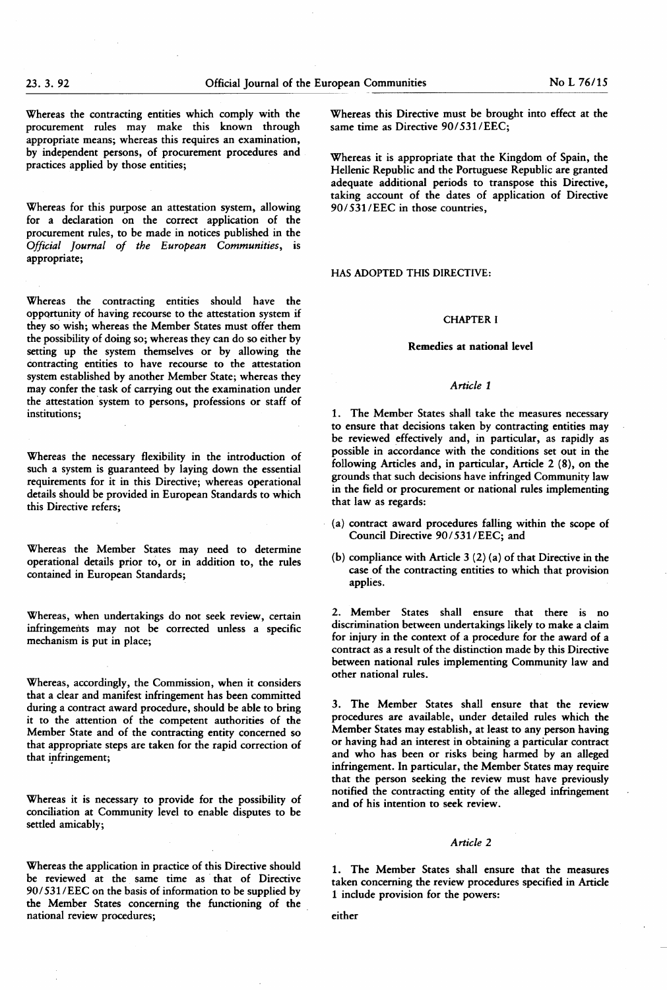Whereas the contracting entities which comply with the procurement rules may make this known through appropriate means; whereas this requires an examination, by independent persons, of procurement procedures and practices applied by those entities;

Whereas for this purpose an attestation system, allowing for a declaration on the correct application of the procurement rules, to be made in notices published in the Official Journal of the European Communities, is appropriate;

Whereas the contracting entities should have the opportunity of having recourse to the attestation system if they so wish; whereas the Member States must offer them the possibility of doing so; whereas they can do so either by setting up the system themselves or by allowing the contracting entities to have recourse to the attestation system established by another Member State; whereas they may confer the task of carrying out the examination under the attestation system to persons, professions or staff of institutions;

Whereas the necessary flexibility in the introduction of such a system is guaranteed by laying down the essential requirements for it in this Directive; whereas operational details should be provided in European Standards to which this Directive refers;

Whereas the Member States may need to determine operational details prior to, or in addition to, the rules contained in European Standards;

Whereas, when undertakings do not seek review, certain infringements may not be corrected unless a specific mechanism is put in place;

Whereas, accordingly, the Commission, when it considers that a clear and manifest infringement has been committed during a contract award procedure, should be able to bring it to the attention of the competent authorities of the Member State and of the contracting entity concerned so that appropriate steps are taken for the rapid correction of that infringement;

Whereas it is necessary to provide for the possibility of conciliation at Community level to enable disputes to be settled amicably;

Whereas the application in practice of this Directive should be reviewed at the same time as that of Directive 90 / 531 /EEC on the basis of information to be supplied by the Member States concerning the functioning of the national review procedures;

Whereas this Directive must be brought into effect at the same time as Directive 90/531/EEC;

Whereas it is appropriate that the Kingdom of Spain, the Hellenic Republic and the Portuguese Republic are granted adequate additional periods to transpose this Directive, taking account of the dates of application of Directive 90/531/EEC in those countries,

## HAS ADOPTED THIS DIRECTIVE:

#### CHAPTER I

#### Remedies at national level

## Article <sup>1</sup>

1. The Member States shall take the measures necessary to ensure that decisions taken by contracting entities may be reviewed effectively and, in particular, as rapidly as possible in accordance with the conditions set out in the following Articles and, in particular, Article 2 (8), on the grounds that such decisions have infringed Community law in the field or procurement or national rules implementing that law as regards:

- $(a)$  contract award procedures falling within the scope of Council Directive 90/531/EEC; and
	- (b) compliance with Article  $3(2)(a)$  of that Directive in the case of the contracting entities to which that provision applies.

2. Member States shall ensure that there is no discrimination between undertakings likely to make a claim for injury in the context of a procedure for the award of a contract as a result of the distinction made by this Directive between national rules implementing Community law and other national rules.

3. The Member States shall ensure that the review procedures are available, under detailed rules which the Member States may establish, at least to any person having or having had an interest in obtaining a particular contract and who has been or risks being harmed by an alleged infringement. In particular, the Member States may require that the person seeking the review must have previously notified the contracting entity of the alleged infringement and of his intention to seek review.

# Article 2

1. The Member States shall ensure that the measures taken concerning the review procedures specified in Article <sup>1</sup> include provision for the powers:

either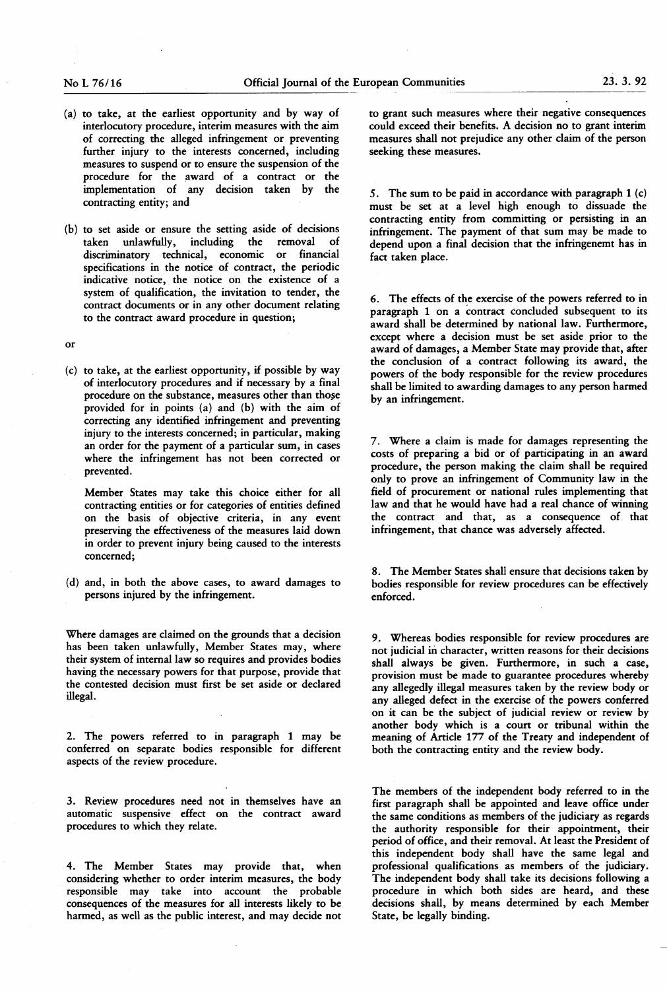- (a) to take, at the earliest opportunity and by way of interlocutory procedure, interim measures with the aim of correcting the alleged infringement or preventing further injury to the interests concerned, including measures to suspend or to ensure the suspension of the procedure for the award of a contract or the implementation of any decision taken by the contracting entity; and
- (b) to set aside or ensure the setting aside of decisions taken unlawfully, including the removal of discriminatory technical, economic or specifications in the notice of contract, the periodic indicative notice, the notice on the existence of a system of qualification, the invitation to tender, the contract documents or in any other document relating to the contract award procedure in question;

or

(c) to take, at the earliest opportunity, if possible by way of interlocutory procedures and if necessary by a final procedure on the substance, measures other than those provided for in points (a) and (b) with the aim of correcting any identified infringement and preventing injury to the interests concerned; in particular, making an order for the payment of a particular sum, in cases where the infringement has not been corrected or prevented.

Member States may take this choice either for all contracting entities or for categories of entities defined on the basis of objective criteria, in any event preserving the effectiveness of the measures laid down in order to prevent injury being caused to the interests concerned;

(d) and, in both the above cases, to award damages to persons injured by the infringement.

Where damages are claimed on the grounds that a decision has been taken unlawfully, Member States may, where their system of internal law so requires and provides bodies having the necessary powers for that purpose, provide that the contested decision must first be set aside or declared illegal.

2. The powers referred to in paragraph <sup>1</sup> may be conferred on separate bodies responsible for different aspects of the review procedure.

3. Review procedures need not in themselves have an automatic suspensive effect on the contract award procedures to which they relate.

4. The Member States may provide that, when considering whether to order interim measures, the body responsible may take into account the probable consequences of the measures for all interests likely to be harmed, as well as the public interest, and may decide not to grant such measures where their negative consequences could exceed their benefits. A decision no to grant interim measures shall not prejudice any other claim of the person seeking these measures.

5 . The sum to be paid in accordance with paragraph <sup>1</sup> (c) must be set at a level high enough to dissuade the contracting entity from committing or persisting in an infringement. The payment of that sum may be made to depend upon a final decision that the infringenemt has in fact taken place.

6. The effects of the exercise of the powers referred to in paragraph 1 on a contract concluded subsequent to its award shall be determined by national law. Furthermore, except where a decision must be set aside prior to the award of damages, a Member State may provide that, after the conclusion of a contract following its award, the powers of the body responsible for the review procedures shall be limited to awarding damages to any person harmed by an infringement.

7. Where a claim is made for damages representing the costs of preparing a bid or of participating in an award procedure, the person making the claim shall be required only to prove an infringement of Community law in the field of procurement or national rules implementing that law and that he would have had a real chance of winning the contract and that, as a consequence of that infringement, that chance was adversely affected.

8. The Member States shall ensure that decisions taken by bodies responsible for review procedures can be effectively enforced.

9. Whereas bodies responsible for review procedures are not judicial in character, written reasons for their decisions shall always be given. Furthermore, in such a case, provision must be made to guarantee procedures whereby any allegedly illegal measures taken by the review body or any alleged defect in the exercise of the powers conferred on it can be the subject of judicial review or review by another body which is a court or tribunal within the meaning of Article 177 of the Treaty and independent of both the contracting entity and the review body.

The members of the independent body referred to in the first paragraph shall be appointed and leave office under the same conditions as members of the judiciary as regards the authority responsible for their appointment, their period of office, and their removal. At least the President of this independent body shall have the same legal and professional qualifications as members of the judiciary. The independent body shall take its decisions following a procedure in which both sides are heard, and these decisions shall, by means determined by each Member State, be legally binding.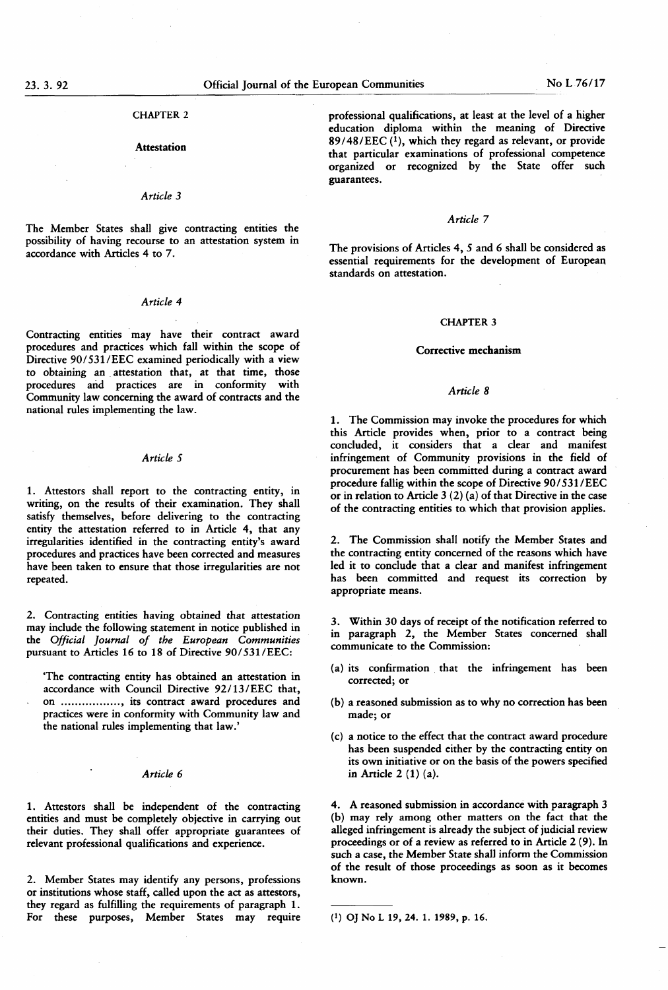# CHAPTER 2

# Attestation

## Article 3

The Member States shall give contracting entities the possibility of having recourse to an attestation system in accordance with Articles 4 to 7.

## Article 4

Contracting entities may have their contract award procedures and practices which fall within the scope of Directive 90/531/EEC examined periodically with a view to obtaining an attestation that, at that time, those procedures and practices are in conformity with Community law concerning the award of contracts and the national rules implementing the law.

# Article 5

<sup>1</sup> . Attestors shall report to the contracting entity, in writing, on the results of their examination. They shall satisfy themselves, before delivering to the contracting entity the attestation referred to in Article 4, that any irregularities identified in the contracting entity's award procedures and practices have been corrected and measures have been taken to ensure that those irregularities are not repeated.

2. Contracting entities having obtained that attestation may include the following statement in notice published in the Official Journal of the European Communities pursuant to Articles 16 to 18 of Directive 90/531/EEC:

The contracting entity has obtained an attestation in accordance with Council Directive 92/ 13 /EEC that, on ................, its contract award procedures and practices were in conformity with Community law and the national rules implementing that law.'

# Article 6

<sup>1</sup> . Attestors shall be independent of the contracting entities and must be completely objective in carrying out their duties. They shall offer appropriate guarantees of relevant professional qualifications and experience.

2. Member States may identify any persons, professions or institutions whose staff, called upon the act as attestors, they regard as fulfilling the requirements of paragraph 1. For these purposes, Member States may require (1) OJ No L 19, 24. 1. 1989, p. 16.

professional qualifications, at least at the level of a higher education diploma within the meaning of Directive 89/48/EEC  $(1)$ , which they regard as relevant, or provide that particular examinations of professional competence organized or recognized by the State offer such guarantees.

# Article 7

The provisions of Articles 4, 5 and 6 shall be considered as essential requirements for the development of European standards on attestation.

## CHAPTER 3

#### Corrective mechanism

## Article 8

1. The Commission may invoke the procedures for which this Article provides when, prior to a contract being concluded, it considers that a clear and manifest infringement of Community provisions in the field of procurement has been committed during a contract award procedure fallig within the scope of Directive 90 / 531 /EEC or in relation to Article 3 (2) (a) of that Directive in the case of the contracting entities to. which that provision applies.

2. The Commission shall notify the Member States and the contracting entity concerned of the reasons which have led it to conclude that a clear and manifest infringement has been committed and request its correction by appropriate means.

3. Within 30 days of receipt of the notification referred to in paragraph 2, the Member States concerned shall communicate to the Commission:

- (a) its confirmation that the infringement has been corrected; or
- (b) a reasoned submission as to why no correction has been made; or
- (c) a notice to the effect that the contract award procedure has been suspended either by the contracting entity on its own initiative or on the basis of the powers specified in Article  $2(1)(a)$ .

4. A reasoned submission in accordance with paragraph 3 (b) may rely among other matters on the fact that the alleged infringement is already the subject of judicial review proceedings or of a review as referred to in Article 2 (9). In such a case, the Member State shall inform the Commission of the result of those proceedings as soon as it becomes known.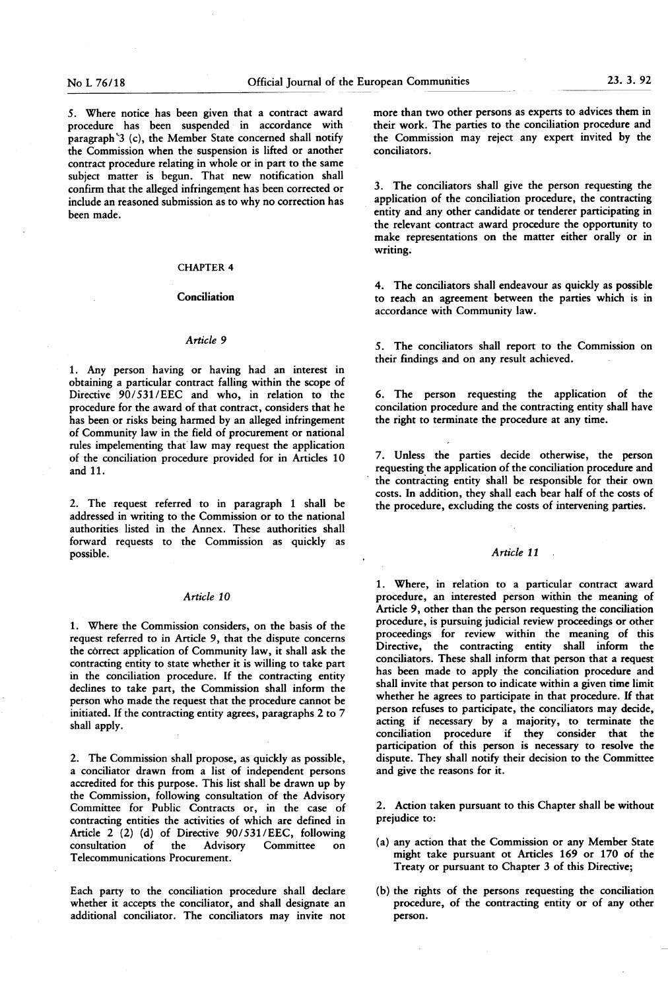5. Where notice has been given that a contract award procedure has been suspended in accordance with paragraph '3 (c), the Member State concerned shall notify the Commission when the suspension is lifted or another contract procedure relating in whole or in part to the same subject matter is begun. That new notification shall confirm that the alleged infringement has been corrected or include an reasoned submission as to why no correction has been made.

## CHAPTER 4

#### **Conciliation**

## Article 9

<sup>1</sup> . Any person having or having had an interest in obtaining a particular contract falling within the scope of Directive  $90/531/EEC$  and who, in relation to the procedure for the award of that contract, considers that he has been or risks being harmed by an alleged infringement of Community law in the field of procurement or national rules impelementing that law may request the application of the conciliation procedure provided for in Articles 10 and 11.

2. The request referred to in paragraph <sup>1</sup> shall be addressed in writing to the Commission or to the national authorities listed in the Annex. These authorities shall forward requests to the Commission as quickly as possible. Article 11

# Article 10

1. Where the Commission considers, on the basis of the request referred to in Article 9, that the dispute concerns the correct application of Community law, it shall ask the contracting entity to state whether it is willing to take part in the conciliation procedure. If the contracting entity declines to take part, the Commission shall inform the person who made the request that the procedure cannot be initiated. If the contracting entity agrees, paragraphs 2 to 7 shall apply.

2. The Commission shall propose, as quickly as possible, a conciliator drawn from a list of independent persons accredited for this purpose. This list shall be drawn up by the Commission, following consultation of the Advisory Committee for Public Contracts or, in the case of contracting entities the activities of which are defined in Article  $2(2)(d)$  of Directive  $90/531/EEC$ , following<br>consultation of the Advisory Committee on Committee Telecommunications Procurement.

Each party to the conciliation procedure shall declare whether it accepts the conciliator, and shall designate an additional conciliator. The conciliators may invite not more than two other persons as experts to advices them in their work. The parties to the conciliation procedure and the Commission may reject any expert invited by the conciliators.

3. The conciliators shall give the person requesting the application of the conciliation procedure, the contracting entity and any other candidate or tenderer participating in the relevant contract award procedure the opportunity to make representations on the matter either orally or in writing.

4. The conciliators shall endeavour as quickly as possible to reach an agreement between the parties which is in accordance with Community law.

5 . The conciliators shall report to the Commission on their findings and on any result achieved.

6 . The person requesting the application of the concilation procedure and the contracting entity shall have the right to terminate the procedure at any time.

7. Unless the parties decide otherwise, the person requesting the application of the conciliation procedure and the contracting entity shall be responsible for their own costs. In addition, they shall each bear half of the costs of the procedure, excluding the costs of intervening parties.

1. Where, in relation to a particular contract award procedure, an interested person within the meaning of Article 9, other than the person requesting the conciliation procedure, is pursuing judicial review proceedings or other proceedings for review within the meaning of this Directive, the contracting entity shall inform the conciliators. These shall inform that person that a request has been made to apply the conciliation procedure and shall invite that person to indicate within a given time limit whether he agrees to participate in that procedure. If that person refuses to participate, the conciliators may decide, acting if necessary by a majority, to terminate the conciliation procedure if they consider that the participation of this person is necessary to resolve the dispute. They shall notify their decision to the Committee and give the reasons for it.

2. Action taken pursuant to this Chapter shall be without prejudice to:

- (a) any action that the Commission or any Member State might take pursuant ot Articles 169 or 170 of the Treaty or pursuant to Chapter 3 of this Directive;
- (b) the rights of the persons requesting the conciliation procedure, of the contracting entity or of any other person.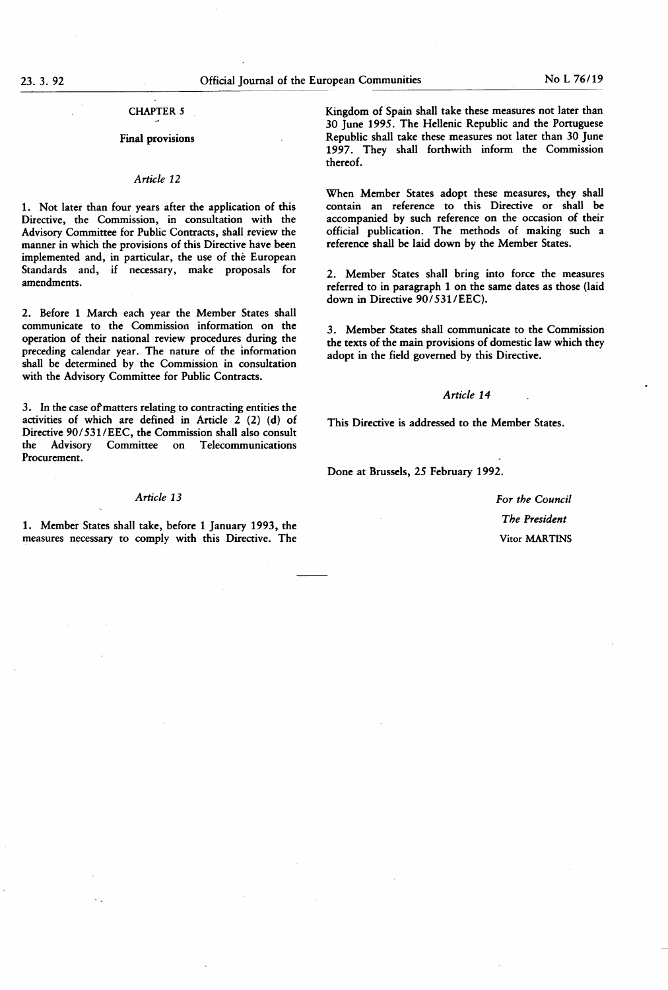## CHAPTER 5

## Final provisions

# Article 12

1. Not later than four years after the application of this Directive, the Commission, in consultation with the Advisory Committee for Public Contracts, shall review the manner in which the provisions of this Directive have been implemented and, in particular, the use of the European Standards and, if necessary, make proposals for amendments.

2. Before <sup>1</sup> March each year the Member States shall communicate to the Commission information on the operation of their national review procedures during the preceding calendar year. The nature of the information shall be determined by the Commission in consultation with the Advisory Committee for Public Contracts.

3. In the case of matters relating to contracting entities the activities of which are defined in Article  $2(2)(d)$  of Directive 90/531/EEC, the Commission shall also consult the Advisory Committee on Telecommunications Procurement.

Kingdom of Spain shall take these measures not later than 30 June 1995 . The Hellenic Republic and the Portuguese Republic shall take these measures not later than 30 June 1997. They shall forthwith inform the Commission thereof.

When Member States adopt these measures, they shall contain an reference to this Directive or shall be accompanied by such reference on the occasion of their official publication. The methods of making such a reference shall be laid down by the Member States.

2. Member States shall bring into force the measures referred to in paragraph <sup>1</sup> on the same dates as those (laid down in Directive 90/531/EEC).

3 . Member States shall communicate to the Commission the texts of the main provisions of domestic law which they adopt in the field governed by this Directive.

### Article 14

This Directive is addressed to the Member States.

Done at Brussels, 25 February 1992.

Article 13

1. Member States shall take, before 1 January 1993, the measures necessary to comply with this Directive. The

For the Council The President Vitor MARTINS